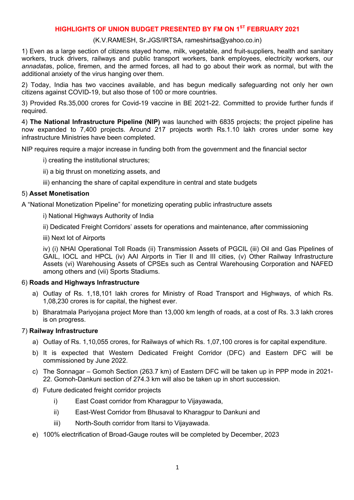# **HIGHLIGHTS OF UNION BUDGET PRESENTED BY FM ON 1ST FEBRUARY 2021**

### (K.V.RAMESH, Sr.JGS/IRTSA, rameshirtsa@yahoo.co.in)

1) Even as a large section of citizens stayed home, milk, vegetable, and fruit-suppliers, health and sanitary workers, truck drivers, railways and public transport workers, bank employees, electricity workers, our *annadata*s, police, firemen, and the armed forces, all had to go about their work as normal, but with the additional anxiety of the virus hanging over them.

2) Today, India has two vaccines available, and has begun medically safeguarding not only her own citizens against COVID-19, but also those of 100 or more countries.

3) Provided Rs.35,000 crores for Covid-19 vaccine in BE 2021-22. Committed to provide further funds if required.

4) **The National Infrastructure Pipeline (NIP)** was launched with 6835 projects; the project pipeline has now expanded to 7,400 projects. Around 217 projects worth Rs.1.10 lakh crores under some key infrastructure Ministries have been completed.

NIP requires require a major increase in funding both from the government and the financial sector

- i) creating the institutional structures;
- ii) a big thrust on monetizing assets, and
- iii) enhancing the share of capital expenditure in central and state budgets

## 5) **Asset Monetisation**

A "National Monetization Pipeline" for monetizing operating public infrastructure assets

- i) National Highways Authority of India
- ii) Dedicated Freight Corridors' assets for operations and maintenance, after commissioning
- iii) Next lot of Airports

iv) (i) NHAI Operational Toll Roads (ii) Transmission Assets of PGCIL (iii) Oil and Gas Pipelines of GAIL, IOCL and HPCL (iv) AAI Airports in Tier II and III cities, (v) Other Railway Infrastructure Assets (vi) Warehousing Assets of CPSEs such as Central Warehousing Corporation and NAFED among others and (vii) Sports Stadiums.

## 6) **Roads and Highways Infrastructure**

- a) Outlay of Rs. 1,18,101 lakh crores for Ministry of Road Transport and Highways, of which Rs. 1,08,230 crores is for capital, the highest ever.
- b) Bharatmala Pariyojana project More than 13,000 km length of roads, at a cost of Rs. 3.3 lakh crores is on progress.

## 7) **Railway Infrastructure**

- a) Outlay of Rs. 1,10,055 crores, for Railways of which Rs. 1,07,100 crores is for capital expenditure.
- b) It is expected that Western Dedicated Freight Corridor (DFC) and Eastern DFC will be commissioned by June 2022.
- c) The Sonnagar Gomoh Section (263.7 km) of Eastern DFC will be taken up in PPP mode in 2021- 22. Gomoh-Dankuni section of 274.3 km will also be taken up in short succession.
- d) Future dedicated freight corridor projects
	- i) East Coast corridor from Kharagpur to Vijayawada,
	- ii) East-West Corridor from Bhusaval to Kharagpur to Dankuni and
	- iii) North-South corridor from Itarsi to Vijayawada.
- e) 100% electrification of Broad-Gauge routes will be completed by December, 2023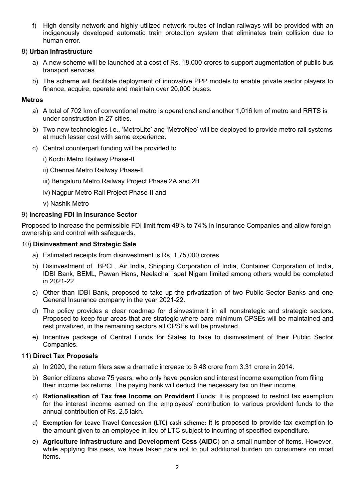f) High density network and highly utilized network routes of Indian railways will be provided with an indigenously developed automatic train protection system that eliminates train collision due to human error.

## 8) **Urban Infrastructure**

- a) A new scheme will be launched at a cost of Rs. 18,000 crores to support augmentation of public bus transport services.
- b) The scheme will facilitate deployment of innovative PPP models to enable private sector players to finance, acquire, operate and maintain over 20,000 buses.

### **Metros**

- a) A total of 702 km of conventional metro is operational and another 1,016 km of metro and RRTS is under construction in 27 cities.
- b) Two new technologies i.e., 'MetroLite' and 'MetroNeo' will be deployed to provide metro rail systems at much lesser cost with same experience.
- c) Central counterpart funding will be provided to
	- i) Kochi Metro Railway Phase-II
	- ii) Chennai Metro Railway Phase-II
	- iii) Bengaluru Metro Railway Project Phase 2A and 2B
	- iv) Nagpur Metro Rail Project Phase-II and
	- v) Nashik Metro

### 9) **Increasing FDI in Insurance Sector**

Proposed to increase the permissible FDI limit from 49% to 74% in Insurance Companies and allow foreign ownership and control with safeguards.

#### 10) **Disinvestment and Strategic Sale**

- a) Estimated receipts from disinvestment is Rs. 1,75,000 crores
- b) Disinvestment of BPCL, Air India, Shipping Corporation of India, Container Corporation of India, IDBI Bank, BEML, Pawan Hans, Neelachal Ispat Nigam limited among others would be completed in 2021-22.
- c) Other than IDBI Bank, proposed to take up the privatization of two Public Sector Banks and one General Insurance company in the year 2021-22.
- d) The policy provides a clear roadmap for disinvestment in all nonstrategic and strategic sectors. Proposed to keep four areas that are strategic where bare minimum CPSEs will be maintained and rest privatized, in the remaining sectors all CPSEs will be privatized.
- e) Incentive package of Central Funds for States to take to disinvestment of their Public Sector Companies.

## 11) **Direct Tax Proposals**

- a) In 2020, the return filers saw a dramatic increase to 6.48 crore from 3.31 crore in 2014.
- b) Senior citizens above 75 years, who only have pension and interest income exemption from filing their income tax returns. The paying bank will deduct the necessary tax on their income.
- c) **Rationalisation of Tax free Income on Provident** Funds: It is proposed to restrict tax exemption for the interest income earned on the employees' contribution to various provident funds to the annual contribution of Rs. 2.5 lakh.
- d) **Exemption for Leave Travel Concession (LTC) cash scheme:** It is proposed to provide tax exemption to the amount given to an employee in lieu of LTC subject to incurring of specified expenditure.
- e) **Agriculture Infrastructure and Development Cess (AIDC**) on a small number of items. However, while applying this cess, we have taken care not to put additional burden on consumers on most items.